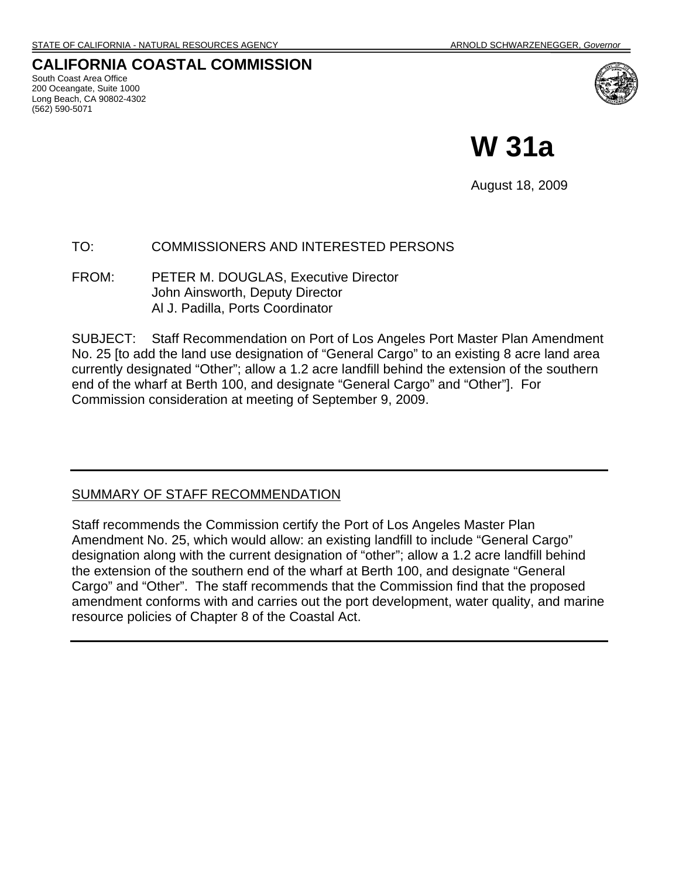### **CALIFORNIA COASTAL COMMISSION**

South Coast Area Office 200 Oceangate, Suite 1000 Long Beach, CA 90802-4302 (562) 590-5071



**W 31a** 

August 18, 2009

#### TO: COMMISSIONERS AND INTERESTED PERSONS

FROM: PETER M. DOUGLAS, Executive Director John Ainsworth, Deputy Director Al J. Padilla, Ports Coordinator

SUBJECT: Staff Recommendation on Port of Los Angeles Port Master Plan Amendment No. 25 [to add the land use designation of "General Cargo" to an existing 8 acre land area currently designated "Other"; allow a 1.2 acre landfill behind the extension of the southern end of the wharf at Berth 100, and designate "General Cargo" and "Other"]. For Commission consideration at meeting of September 9, 2009.

#### SUMMARY OF STAFF RECOMMENDATION

Staff recommends the Commission certify the Port of Los Angeles Master Plan Amendment No. 25, which would allow: an existing landfill to include "General Cargo" designation along with the current designation of "other"; allow a 1.2 acre landfill behind the extension of the southern end of the wharf at Berth 100, and designate "General Cargo" and "Other". The staff recommends that the Commission find that the proposed amendment conforms with and carries out the port development, water quality, and marine resource policies of Chapter 8 of the Coastal Act.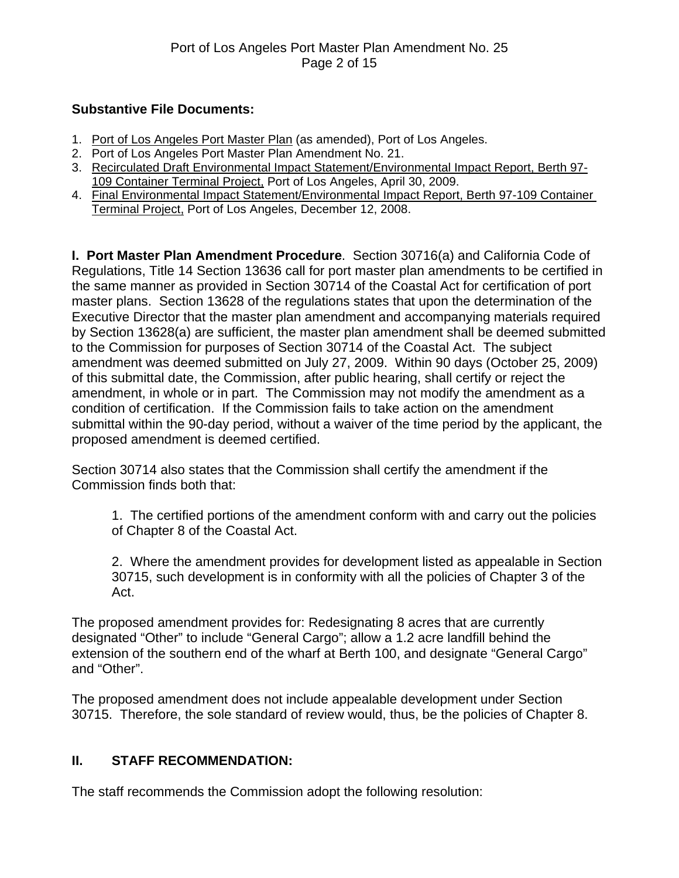### **Substantive File Documents:**

- 1. Port of Los Angeles Port Master Plan (as amended), Port of Los Angeles.
- 2. Port of Los Angeles Port Master Plan Amendment No. 21.
- 3. Recirculated Draft Environmental Impact Statement/Environmental Impact Report, Berth 97- 109 Container Terminal Project, Port of Los Angeles, April 30, 2009.
- 4. Final Environmental Impact Statement/Environmental Impact Report, Berth 97-109 Container Terminal Project, Port of Los Angeles, December 12, 2008.

**I. Port Master Plan Amendment Procedure**. Section 30716(a) and California Code of Regulations, Title 14 Section 13636 call for port master plan amendments to be certified in the same manner as provided in Section 30714 of the Coastal Act for certification of port master plans. Section 13628 of the regulations states that upon the determination of the Executive Director that the master plan amendment and accompanying materials required by Section 13628(a) are sufficient, the master plan amendment shall be deemed submitted to the Commission for purposes of Section 30714 of the Coastal Act. The subject amendment was deemed submitted on July 27, 2009. Within 90 days (October 25, 2009) of this submittal date, the Commission, after public hearing, shall certify or reject the amendment, in whole or in part. The Commission may not modify the amendment as a condition of certification. If the Commission fails to take action on the amendment submittal within the 90-day period, without a waiver of the time period by the applicant, the proposed amendment is deemed certified.

Section 30714 also states that the Commission shall certify the amendment if the Commission finds both that:

1. The certified portions of the amendment conform with and carry out the policies of Chapter 8 of the Coastal Act.

2. Where the amendment provides for development listed as appealable in Section 30715, such development is in conformity with all the policies of Chapter 3 of the Act.

The proposed amendment provides for: Redesignating 8 acres that are currently designated "Other" to include "General Cargo"; allow a 1.2 acre landfill behind the extension of the southern end of the wharf at Berth 100, and designate "General Cargo" and "Other".

The proposed amendment does not include appealable development under Section 30715. Therefore, the sole standard of review would, thus, be the policies of Chapter 8.

# **II. STAFF RECOMMENDATION:**

The staff recommends the Commission adopt the following resolution: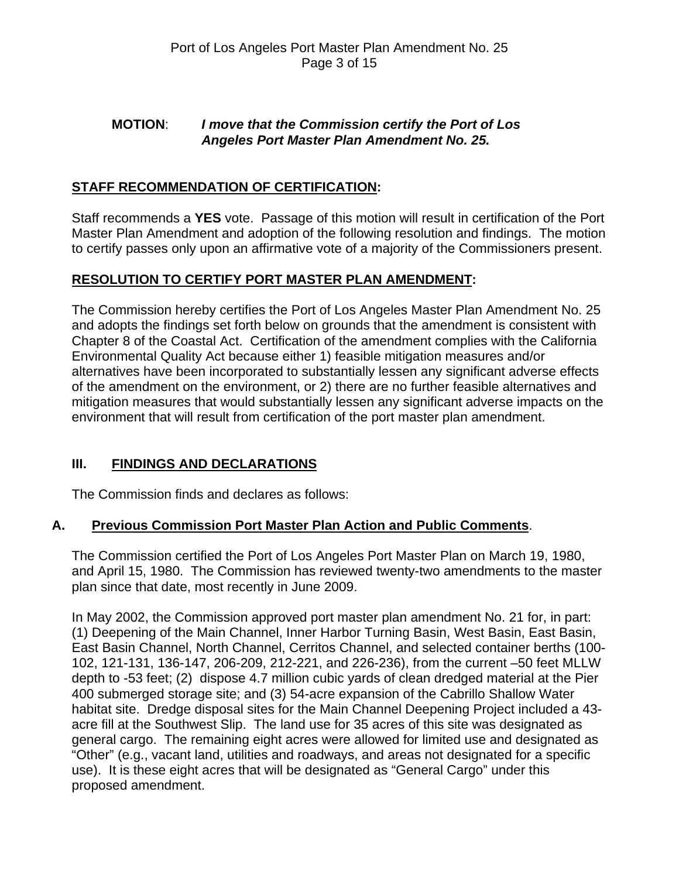### **MOTION**: *I move that the Commission certify the Port of Los Angeles Port Master Plan Amendment No. 25.*

# **STAFF RECOMMENDATION OF CERTIFICATION:**

Staff recommends a **YES** vote. Passage of this motion will result in certification of the Port Master Plan Amendment and adoption of the following resolution and findings. The motion to certify passes only upon an affirmative vote of a majority of the Commissioners present.

### **RESOLUTION TO CERTIFY PORT MASTER PLAN AMENDMENT:**

The Commission hereby certifies the Port of Los Angeles Master Plan Amendment No. 25 and adopts the findings set forth below on grounds that the amendment is consistent with Chapter 8 of the Coastal Act. Certification of the amendment complies with the California Environmental Quality Act because either 1) feasible mitigation measures and/or alternatives have been incorporated to substantially lessen any significant adverse effects of the amendment on the environment, or 2) there are no further feasible alternatives and mitigation measures that would substantially lessen any significant adverse impacts on the environment that will result from certification of the port master plan amendment.

### **III. FINDINGS AND DECLARATIONS**

The Commission finds and declares as follows:

### **A. Previous Commission Port Master Plan Action and Public Comments**.

The Commission certified the Port of Los Angeles Port Master Plan on March 19, 1980, and April 15, 1980. The Commission has reviewed twenty-two amendments to the master plan since that date, most recently in June 2009.

In May 2002, the Commission approved port master plan amendment No. 21 for, in part: (1) Deepening of the Main Channel, Inner Harbor Turning Basin, West Basin, East Basin, East Basin Channel, North Channel, Cerritos Channel, and selected container berths (100- 102, 121-131, 136-147, 206-209, 212-221, and 226-236), from the current –50 feet MLLW depth to -53 feet; (2) dispose 4.7 million cubic yards of clean dredged material at the Pier 400 submerged storage site; and (3) 54-acre expansion of the Cabrillo Shallow Water habitat site. Dredge disposal sites for the Main Channel Deepening Project included a 43 acre fill at the Southwest Slip. The land use for 35 acres of this site was designated as general cargo. The remaining eight acres were allowed for limited use and designated as "Other" (e.g., vacant land, utilities and roadways, and areas not designated for a specific use). It is these eight acres that will be designated as "General Cargo" under this proposed amendment.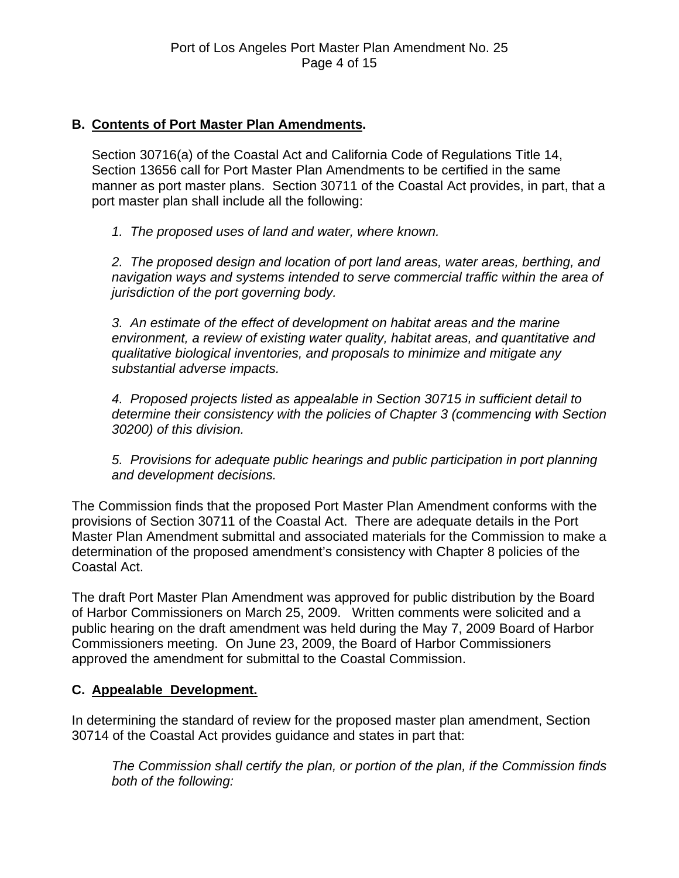### **B. Contents of Port Master Plan Amendments.**

Section 30716(a) of the Coastal Act and California Code of Regulations Title 14, Section 13656 call for Port Master Plan Amendments to be certified in the same manner as port master plans. Section 30711 of the Coastal Act provides, in part, that a port master plan shall include all the following:

*1. The proposed uses of land and water, where known.* 

*2. The proposed design and location of port land areas, water areas, berthing, and navigation ways and systems intended to serve commercial traffic within the area of jurisdiction of the port governing body.* 

*3. An estimate of the effect of development on habitat areas and the marine environment, a review of existing water quality, habitat areas, and quantitative and qualitative biological inventories, and proposals to minimize and mitigate any substantial adverse impacts.* 

*4. Proposed projects listed as appealable in Section 30715 in sufficient detail to determine their consistency with the policies of Chapter 3 (commencing with Section 30200) of this division.* 

*5. Provisions for adequate public hearings and public participation in port planning and development decisions.* 

The Commission finds that the proposed Port Master Plan Amendment conforms with the provisions of Section 30711 of the Coastal Act. There are adequate details in the Port Master Plan Amendment submittal and associated materials for the Commission to make a determination of the proposed amendment's consistency with Chapter 8 policies of the Coastal Act.

The draft Port Master Plan Amendment was approved for public distribution by the Board of Harbor Commissioners on March 25, 2009. Written comments were solicited and a public hearing on the draft amendment was held during the May 7, 2009 Board of Harbor Commissioners meeting. On June 23, 2009, the Board of Harbor Commissioners approved the amendment for submittal to the Coastal Commission.

# **C. Appealable Development.**

In determining the standard of review for the proposed master plan amendment, Section 30714 of the Coastal Act provides guidance and states in part that:

*The Commission shall certify the plan, or portion of the plan, if the Commission finds both of the following:*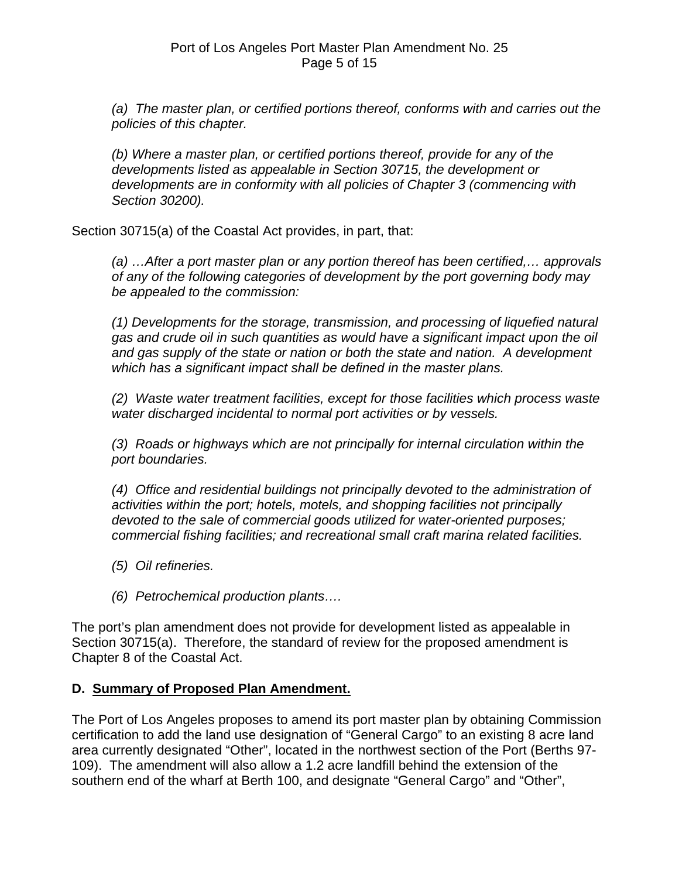*(a) The master plan, or certified portions thereof, conforms with and carries out the policies of this chapter.* 

*(b) Where a master plan, or certified portions thereof, provide for any of the developments listed as appealable in Section 30715, the development or developments are in conformity with all policies of Chapter 3 (commencing with Section 30200).* 

Section 30715(a) of the Coastal Act provides, in part, that:

*(a) …After a port master plan or any portion thereof has been certified,… approvals of any of the following categories of development by the port governing body may be appealed to the commission:* 

*(1) Developments for the storage, transmission, and processing of liquefied natural gas and crude oil in such quantities as would have a significant impact upon the oil and gas supply of the state or nation or both the state and nation. A development which has a significant impact shall be defined in the master plans.* 

*(2) Waste water treatment facilities, except for those facilities which process waste water discharged incidental to normal port activities or by vessels.* 

*(3) Roads or highways which are not principally for internal circulation within the port boundaries.* 

*(4) Office and residential buildings not principally devoted to the administration of activities within the port; hotels, motels, and shopping facilities not principally devoted to the sale of commercial goods utilized for water-oriented purposes; commercial fishing facilities; and recreational small craft marina related facilities.* 

- *(5) Oil refineries.*
- *(6) Petrochemical production plants….*

The port's plan amendment does not provide for development listed as appealable in Section 30715(a). Therefore, the standard of review for the proposed amendment is Chapter 8 of the Coastal Act.

### **D. Summary of Proposed Plan Amendment.**

The Port of Los Angeles proposes to amend its port master plan by obtaining Commission certification to add the land use designation of "General Cargo" to an existing 8 acre land area currently designated "Other", located in the northwest section of the Port (Berths 97- 109). The amendment will also allow a 1.2 acre landfill behind the extension of the southern end of the wharf at Berth 100, and designate "General Cargo" and "Other",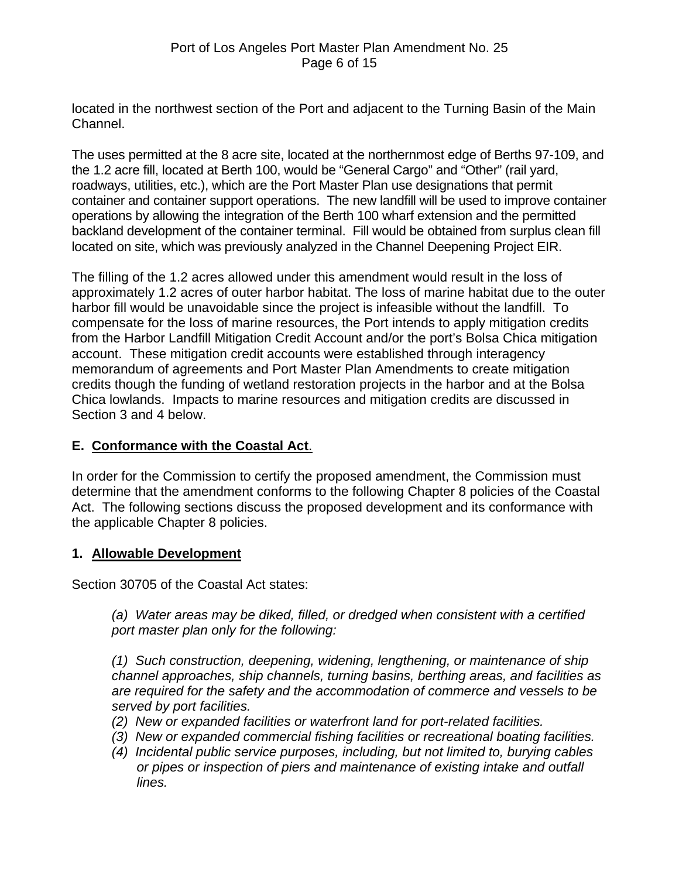located in the northwest section of the Port and adjacent to the Turning Basin of the Main Channel.

The uses permitted at the 8 acre site, located at the northernmost edge of Berths 97-109, and the 1.2 acre fill, located at Berth 100, would be "General Cargo" and "Other" (rail yard, roadways, utilities, etc.), which are the Port Master Plan use designations that permit container and container support operations. The new landfill will be used to improve container operations by allowing the integration of the Berth 100 wharf extension and the permitted backland development of the container terminal. Fill would be obtained from surplus clean fill located on site, which was previously analyzed in the Channel Deepening Project EIR.

The filling of the 1.2 acres allowed under this amendment would result in the loss of approximately 1.2 acres of outer harbor habitat. The loss of marine habitat due to the outer harbor fill would be unavoidable since the project is infeasible without the landfill. To compensate for the loss of marine resources, the Port intends to apply mitigation credits from the Harbor Landfill Mitigation Credit Account and/or the port's Bolsa Chica mitigation account. These mitigation credit accounts were established through interagency memorandum of agreements and Port Master Plan Amendments to create mitigation credits though the funding of wetland restoration projects in the harbor and at the Bolsa Chica lowlands. Impacts to marine resources and mitigation credits are discussed in Section 3 and 4 below.

### **E. Conformance with the Coastal Act**.

In order for the Commission to certify the proposed amendment, the Commission must determine that the amendment conforms to the following Chapter 8 policies of the Coastal Act. The following sections discuss the proposed development and its conformance with the applicable Chapter 8 policies.

### **1. Allowable Development**

Section 30705 of the Coastal Act states:

*(a) Water areas may be diked, filled, or dredged when consistent with a certified port master plan only for the following:* 

*(1) Such construction, deepening, widening, lengthening, or maintenance of ship channel approaches, ship channels, turning basins, berthing areas, and facilities as are required for the safety and the accommodation of commerce and vessels to be served by port facilities.* 

- *(2) New or expanded facilities or waterfront land for port-related facilities.*
- *(3) New or expanded commercial fishing facilities or recreational boating facilities.*
- *(4) Incidental public service purposes, including, but not limited to, burying cables or pipes or inspection of piers and maintenance of existing intake and outfall lines.*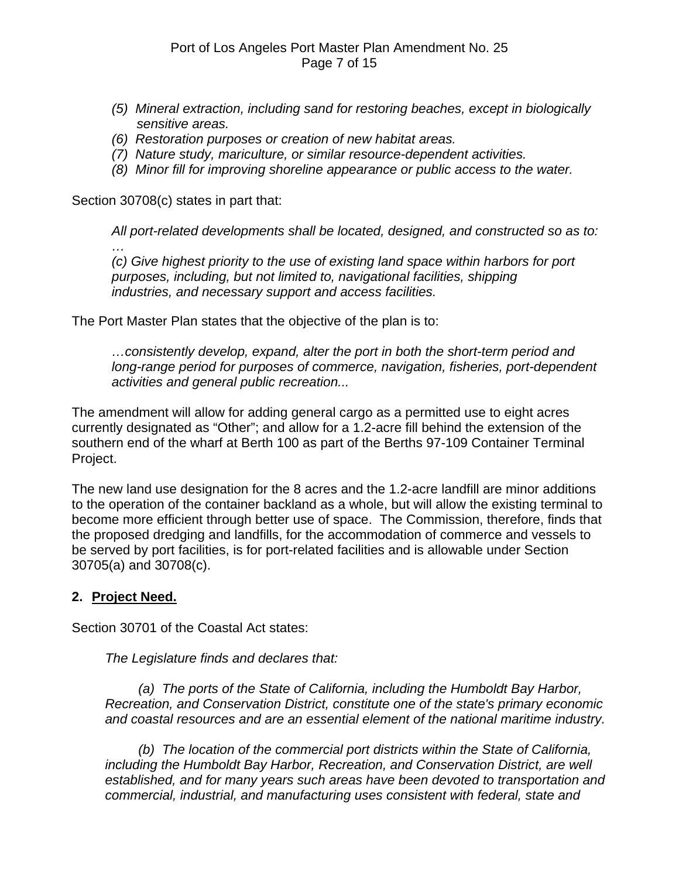- *(5) Mineral extraction, including sand for restoring beaches, except in biologically sensitive areas.*
- *(6) Restoration purposes or creation of new habitat areas.*
- *(7) Nature study, mariculture, or similar resource-dependent activities.*
- *(8) Minor fill for improving shoreline appearance or public access to the water.*

Section 30708(c) states in part that:

*All port-related developments shall be located, designed, and constructed so as to: …* 

 *(c) Give highest priority to the use of existing land space within harbors for port purposes, including, but not limited to, navigational facilities, shipping industries, and necessary support and access facilities.* 

The Port Master Plan states that the objective of the plan is to:

*…consistently develop, expand, alter the port in both the short-term period and long-range period for purposes of commerce, navigation, fisheries, port-dependent activities and general public recreation...* 

The amendment will allow for adding general cargo as a permitted use to eight acres currently designated as "Other"; and allow for a 1.2-acre fill behind the extension of the southern end of the wharf at Berth 100 as part of the Berths 97-109 Container Terminal Project.

The new land use designation for the 8 acres and the 1.2-acre landfill are minor additions to the operation of the container backland as a whole, but will allow the existing terminal to become more efficient through better use of space. The Commission, therefore, finds that the proposed dredging and landfills, for the accommodation of commerce and vessels to be served by port facilities, is for port-related facilities and is allowable under Section 30705(a) and 30708(c).

### **2. Project Need.**

Section 30701 of the Coastal Act states:

*The Legislature finds and declares that:* 

 *(a) The ports of the State of California, including the Humboldt Bay Harbor, Recreation, and Conservation District, constitute one of the state's primary economic and coastal resources and are an essential element of the national maritime industry.* 

 *(b) The location of the commercial port districts within the State of California, including the Humboldt Bay Harbor, Recreation, and Conservation District, are well established, and for many years such areas have been devoted to transportation and commercial, industrial, and manufacturing uses consistent with federal, state and*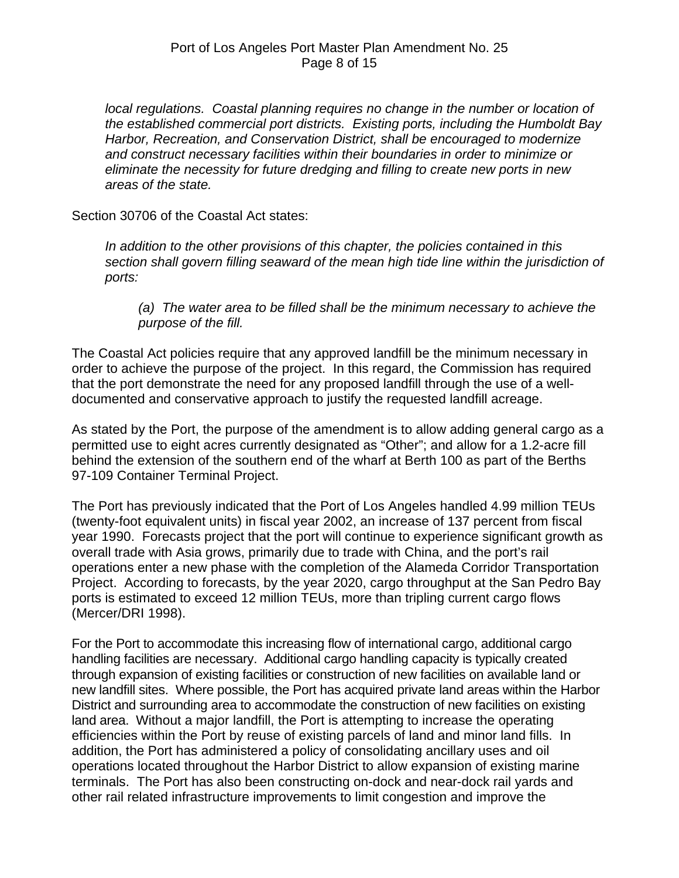*local regulations. Coastal planning requires no change in the number or location of the established commercial port districts. Existing ports, including the Humboldt Bay Harbor, Recreation, and Conservation District, shall be encouraged to modernize and construct necessary facilities within their boundaries in order to minimize or eliminate the necessity for future dredging and filling to create new ports in new areas of the state.* 

Section 30706 of the Coastal Act states:

*In addition to the other provisions of this chapter, the policies contained in this section shall govern filling seaward of the mean high tide line within the jurisdiction of ports:* 

*(a) The water area to be filled shall be the minimum necessary to achieve the purpose of the fill.* 

The Coastal Act policies require that any approved landfill be the minimum necessary in order to achieve the purpose of the project. In this regard, the Commission has required that the port demonstrate the need for any proposed landfill through the use of a welldocumented and conservative approach to justify the requested landfill acreage.

As stated by the Port, the purpose of the amendment is to allow adding general cargo as a permitted use to eight acres currently designated as "Other"; and allow for a 1.2-acre fill behind the extension of the southern end of the wharf at Berth 100 as part of the Berths 97-109 Container Terminal Project.

The Port has previously indicated that the Port of Los Angeles handled 4.99 million TEUs (twenty-foot equivalent units) in fiscal year 2002, an increase of 137 percent from fiscal year 1990. Forecasts project that the port will continue to experience significant growth as overall trade with Asia grows, primarily due to trade with China, and the port's rail operations enter a new phase with the completion of the Alameda Corridor Transportation Project. According to forecasts, by the year 2020, cargo throughput at the San Pedro Bay ports is estimated to exceed 12 million TEUs, more than tripling current cargo flows (Mercer/DRI 1998).

For the Port to accommodate this increasing flow of international cargo, additional cargo handling facilities are necessary. Additional cargo handling capacity is typically created through expansion of existing facilities or construction of new facilities on available land or new landfill sites. Where possible, the Port has acquired private land areas within the Harbor District and surrounding area to accommodate the construction of new facilities on existing land area. Without a major landfill, the Port is attempting to increase the operating efficiencies within the Port by reuse of existing parcels of land and minor land fills. In addition, the Port has administered a policy of consolidating ancillary uses and oil operations located throughout the Harbor District to allow expansion of existing marine terminals. The Port has also been constructing on-dock and near-dock rail yards and other rail related infrastructure improvements to limit congestion and improve the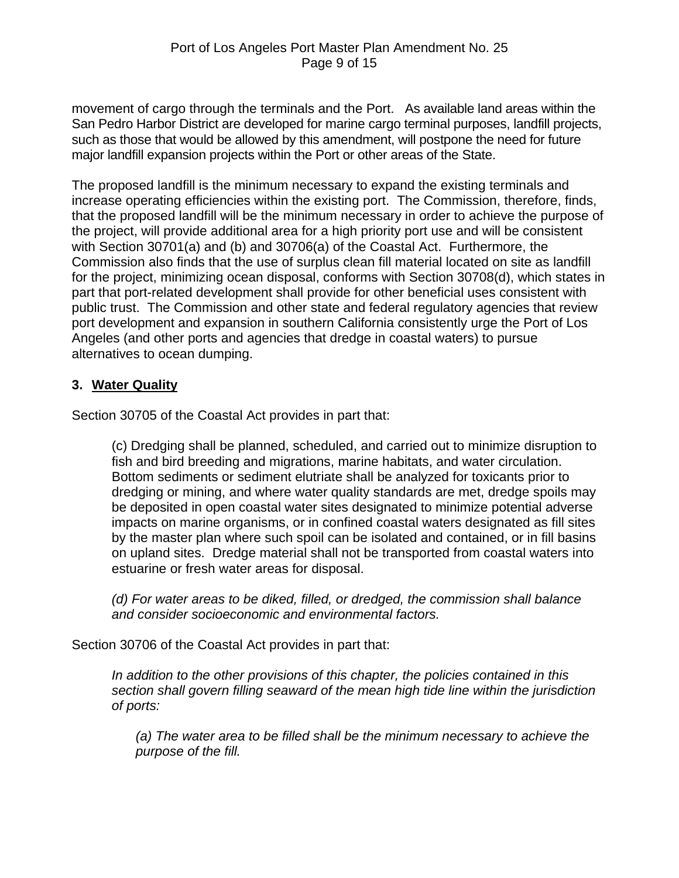movement of cargo through the terminals and the Port. As available land areas within the San Pedro Harbor District are developed for marine cargo terminal purposes, landfill projects, such as those that would be allowed by this amendment, will postpone the need for future major landfill expansion projects within the Port or other areas of the State.

The proposed landfill is the minimum necessary to expand the existing terminals and increase operating efficiencies within the existing port. The Commission, therefore, finds, that the proposed landfill will be the minimum necessary in order to achieve the purpose of the project, will provide additional area for a high priority port use and will be consistent with Section 30701(a) and (b) and 30706(a) of the Coastal Act. Furthermore, the Commission also finds that the use of surplus clean fill material located on site as landfill for the project, minimizing ocean disposal, conforms with Section 30708(d), which states in part that port-related development shall provide for other beneficial uses consistent with public trust. The Commission and other state and federal regulatory agencies that review port development and expansion in southern California consistently urge the Port of Los Angeles (and other ports and agencies that dredge in coastal waters) to pursue alternatives to ocean dumping.

### **3. Water Quality**

Section 30705 of the Coastal Act provides in part that:

(c) Dredging shall be planned, scheduled, and carried out to minimize disruption to fish and bird breeding and migrations, marine habitats, and water circulation. Bottom sediments or sediment elutriate shall be analyzed for toxicants prior to dredging or mining, and where water quality standards are met, dredge spoils may be deposited in open coastal water sites designated to minimize potential adverse impacts on marine organisms, or in confined coastal waters designated as fill sites by the master plan where such spoil can be isolated and contained, or in fill basins on upland sites. Dredge material shall not be transported from coastal waters into estuarine or fresh water areas for disposal.

*(d) For water areas to be diked, filled, or dredged, the commission shall balance and consider socioeconomic and environmental factors.* 

Section 30706 of the Coastal Act provides in part that:

*In addition to the other provisions of this chapter, the policies contained in this section shall govern filling seaward of the mean high tide line within the jurisdiction of ports:* 

*(a) The water area to be filled shall be the minimum necessary to achieve the purpose of the fill.*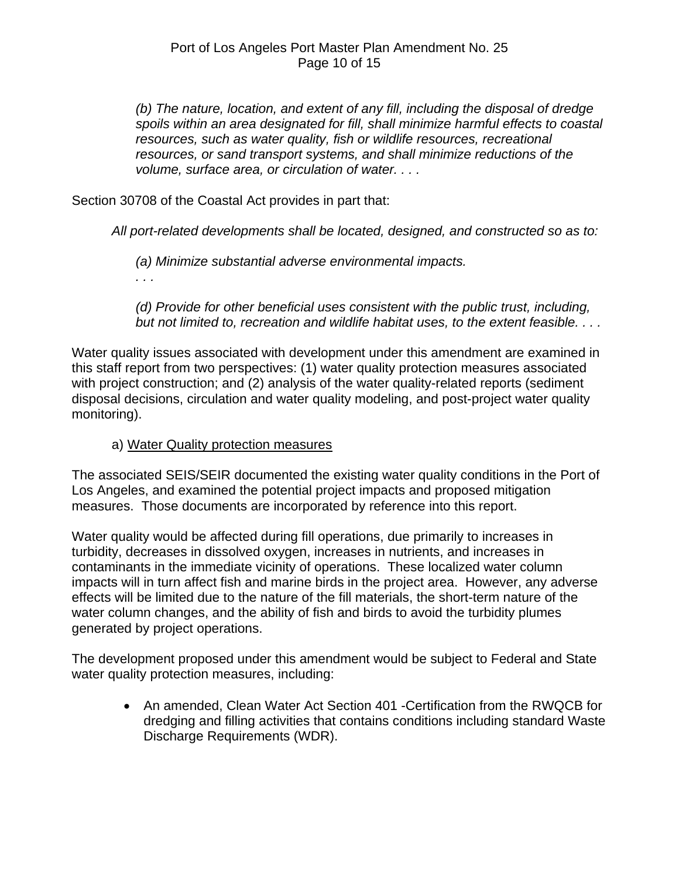*(b) The nature, location, and extent of any fill, including the disposal of dredge spoils within an area designated for fill, shall minimize harmful effects to coastal resources, such as water quality, fish or wildlife resources, recreational resources, or sand transport systems, and shall minimize reductions of the volume, surface area, or circulation of water. . . .*

Section 30708 of the Coastal Act provides in part that:

*All port-related developments shall be located, designed, and constructed so as to:* 

*(a) Minimize substantial adverse environmental impacts.* 

*. . .* 

*(d) Provide for other beneficial uses consistent with the public trust, including, but not limited to, recreation and wildlife habitat uses, to the extent feasible. . . .* 

Water quality issues associated with development under this amendment are examined in this staff report from two perspectives: (1) water quality protection measures associated with project construction; and (2) analysis of the water quality-related reports (sediment disposal decisions, circulation and water quality modeling, and post-project water quality monitoring).

### a) Water Quality protection measures

The associated SEIS/SEIR documented the existing water quality conditions in the Port of Los Angeles, and examined the potential project impacts and proposed mitigation measures. Those documents are incorporated by reference into this report.

Water quality would be affected during fill operations, due primarily to increases in turbidity, decreases in dissolved oxygen, increases in nutrients, and increases in contaminants in the immediate vicinity of operations. These localized water column impacts will in turn affect fish and marine birds in the project area. However, any adverse effects will be limited due to the nature of the fill materials, the short-term nature of the water column changes, and the ability of fish and birds to avoid the turbidity plumes generated by project operations.

The development proposed under this amendment would be subject to Federal and State water quality protection measures, including:

• An amended, Clean Water Act Section 401 -Certification from the RWQCB for dredging and filling activities that contains conditions including standard Waste Discharge Requirements (WDR).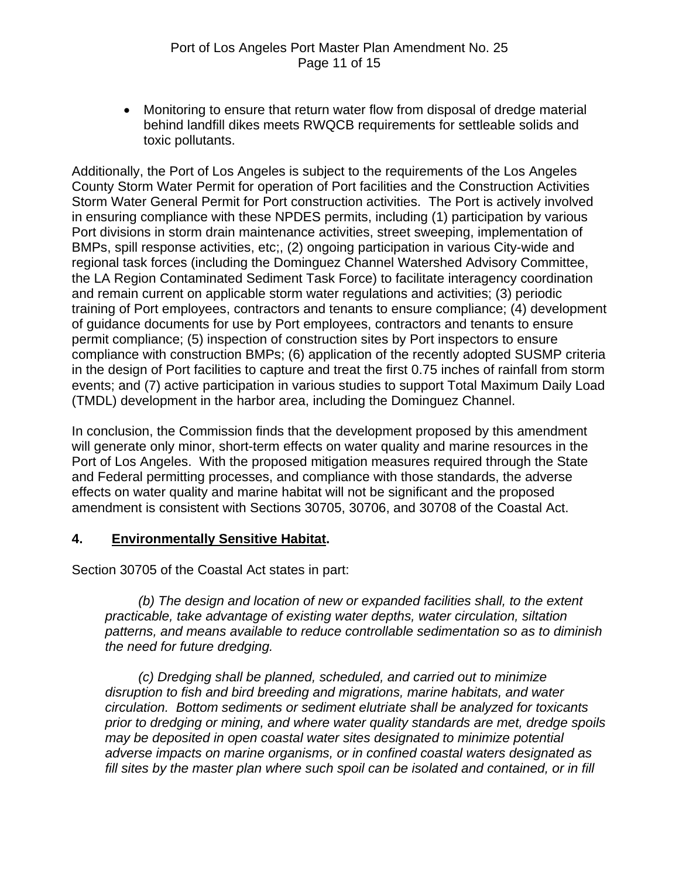• Monitoring to ensure that return water flow from disposal of dredge material behind landfill dikes meets RWQCB requirements for settleable solids and toxic pollutants.

Additionally, the Port of Los Angeles is subject to the requirements of the Los Angeles County Storm Water Permit for operation of Port facilities and the Construction Activities Storm Water General Permit for Port construction activities. The Port is actively involved in ensuring compliance with these NPDES permits, including (1) participation by various Port divisions in storm drain maintenance activities, street sweeping, implementation of BMPs, spill response activities, etc;, (2) ongoing participation in various City-wide and regional task forces (including the Dominguez Channel Watershed Advisory Committee, the LA Region Contaminated Sediment Task Force) to facilitate interagency coordination and remain current on applicable storm water regulations and activities; (3) periodic training of Port employees, contractors and tenants to ensure compliance; (4) development of guidance documents for use by Port employees, contractors and tenants to ensure permit compliance; (5) inspection of construction sites by Port inspectors to ensure compliance with construction BMPs; (6) application of the recently adopted SUSMP criteria in the design of Port facilities to capture and treat the first 0.75 inches of rainfall from storm events; and (7) active participation in various studies to support Total Maximum Daily Load (TMDL) development in the harbor area, including the Dominguez Channel.

In conclusion, the Commission finds that the development proposed by this amendment will generate only minor, short-term effects on water quality and marine resources in the Port of Los Angeles. With the proposed mitigation measures required through the State and Federal permitting processes, and compliance with those standards, the adverse effects on water quality and marine habitat will not be significant and the proposed amendment is consistent with Sections 30705, 30706, and 30708 of the Coastal Act.

### **4. Environmentally Sensitive Habitat.**

Section 30705 of the Coastal Act states in part:

 *(b) The design and location of new or expanded facilities shall, to the extent practicable, take advantage of existing water depths, water circulation, siltation patterns, and means available to reduce controllable sedimentation so as to diminish the need for future dredging.* 

 *(c) Dredging shall be planned, scheduled, and carried out to minimize disruption to fish and bird breeding and migrations, marine habitats, and water circulation. Bottom sediments or sediment elutriate shall be analyzed for toxicants prior to dredging or mining, and where water quality standards are met, dredge spoils may be deposited in open coastal water sites designated to minimize potential adverse impacts on marine organisms, or in confined coastal waters designated as fill sites by the master plan where such spoil can be isolated and contained, or in fill*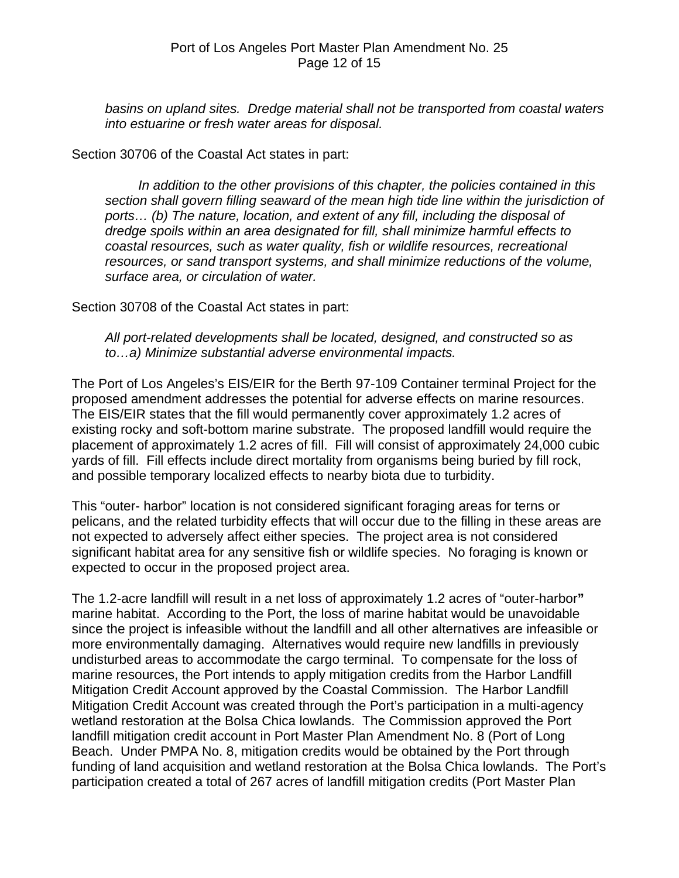*basins on upland sites. Dredge material shall not be transported from coastal waters into estuarine or fresh water areas for disposal.* 

#### Section 30706 of the Coastal Act states in part:

*In addition to the other provisions of this chapter, the policies contained in this section shall govern filling seaward of the mean high tide line within the jurisdiction of ports… (b) The nature, location, and extent of any fill, including the disposal of dredge spoils within an area designated for fill, shall minimize harmful effects to coastal resources, such as water quality, fish or wildlife resources, recreational resources, or sand transport systems, and shall minimize reductions of the volume, surface area, or circulation of water.* 

Section 30708 of the Coastal Act states in part:

*All port-related developments shall be located, designed, and constructed so as to…a) Minimize substantial adverse environmental impacts.* 

The Port of Los Angeles's EIS/EIR for the Berth 97-109 Container terminal Project for the proposed amendment addresses the potential for adverse effects on marine resources. The EIS/EIR states that the fill would permanently cover approximately 1.2 acres of existing rocky and soft-bottom marine substrate. The proposed landfill would require the placement of approximately 1.2 acres of fill. Fill will consist of approximately 24,000 cubic yards of fill. Fill effects include direct mortality from organisms being buried by fill rock, and possible temporary localized effects to nearby biota due to turbidity.

This "outer- harbor" location is not considered significant foraging areas for terns or pelicans, and the related turbidity effects that will occur due to the filling in these areas are not expected to adversely affect either species. The project area is not considered significant habitat area for any sensitive fish or wildlife species. No foraging is known or expected to occur in the proposed project area.

The 1.2-acre landfill will result in a net loss of approximately 1.2 acres of "outer-harbor**"** marine habitat. According to the Port, the loss of marine habitat would be unavoidable since the project is infeasible without the landfill and all other alternatives are infeasible or more environmentally damaging. Alternatives would require new landfills in previously undisturbed areas to accommodate the cargo terminal. To compensate for the loss of marine resources, the Port intends to apply mitigation credits from the Harbor Landfill Mitigation Credit Account approved by the Coastal Commission. The Harbor Landfill Mitigation Credit Account was created through the Port's participation in a multi-agency wetland restoration at the Bolsa Chica lowlands. The Commission approved the Port landfill mitigation credit account in Port Master Plan Amendment No. 8 (Port of Long Beach. Under PMPA No. 8, mitigation credits would be obtained by the Port through funding of land acquisition and wetland restoration at the Bolsa Chica lowlands. The Port's participation created a total of 267 acres of landfill mitigation credits (Port Master Plan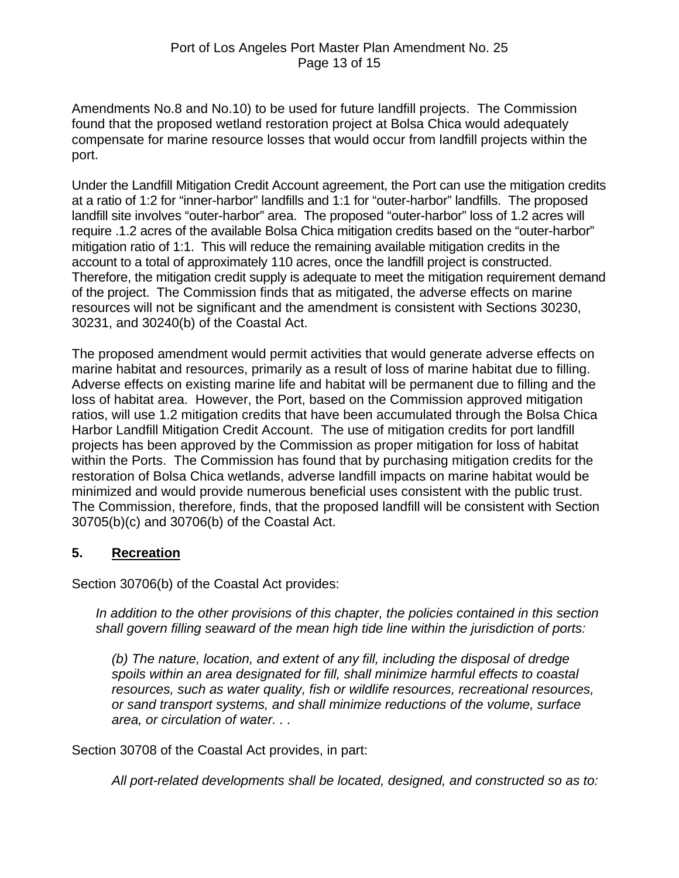Amendments No.8 and No.10) to be used for future landfill projects. The Commission found that the proposed wetland restoration project at Bolsa Chica would adequately compensate for marine resource losses that would occur from landfill projects within the port.

Under the Landfill Mitigation Credit Account agreement, the Port can use the mitigation credits at a ratio of 1:2 for "inner-harbor" landfills and 1:1 for "outer-harbor" landfills. The proposed landfill site involves "outer-harbor" area. The proposed "outer-harbor" loss of 1.2 acres will require .1.2 acres of the available Bolsa Chica mitigation credits based on the "outer-harbor" mitigation ratio of 1:1. This will reduce the remaining available mitigation credits in the account to a total of approximately 110 acres, once the landfill project is constructed. Therefore, the mitigation credit supply is adequate to meet the mitigation requirement demand of the project. The Commission finds that as mitigated, the adverse effects on marine resources will not be significant and the amendment is consistent with Sections 30230, 30231, and 30240(b) of the Coastal Act.

The proposed amendment would permit activities that would generate adverse effects on marine habitat and resources, primarily as a result of loss of marine habitat due to filling. Adverse effects on existing marine life and habitat will be permanent due to filling and the loss of habitat area. However, the Port, based on the Commission approved mitigation ratios, will use 1.2 mitigation credits that have been accumulated through the Bolsa Chica Harbor Landfill Mitigation Credit Account. The use of mitigation credits for port landfill projects has been approved by the Commission as proper mitigation for loss of habitat within the Ports. The Commission has found that by purchasing mitigation credits for the restoration of Bolsa Chica wetlands, adverse landfill impacts on marine habitat would be minimized and would provide numerous beneficial uses consistent with the public trust. The Commission, therefore, finds, that the proposed landfill will be consistent with Section 30705(b)(c) and 30706(b) of the Coastal Act.

### **5. Recreation**

Section 30706(b) of the Coastal Act provides:

*In addition to the other provisions of this chapter, the policies contained in this section shall govern filling seaward of the mean high tide line within the jurisdiction of ports:* 

*(b) The nature, location, and extent of any fill, including the disposal of dredge spoils within an area designated for fill, shall minimize harmful effects to coastal resources, such as water quality, fish or wildlife resources, recreational resources, or sand transport systems, and shall minimize reductions of the volume, surface area, or circulation of water. . .* 

Section 30708 of the Coastal Act provides, in part:

*All port-related developments shall be located, designed, and constructed so as to:*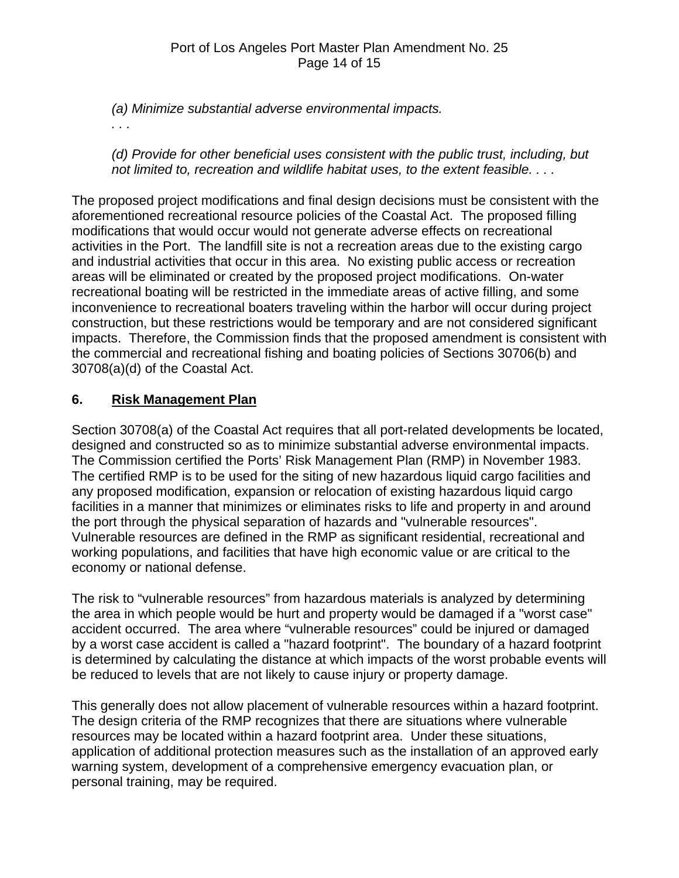*(a) Minimize substantial adverse environmental impacts.* 

*. . .* 

*(d) Provide for other beneficial uses consistent with the public trust, including, but not limited to, recreation and wildlife habitat uses, to the extent feasible. . . .* 

The proposed project modifications and final design decisions must be consistent with the aforementioned recreational resource policies of the Coastal Act. The proposed filling modifications that would occur would not generate adverse effects on recreational activities in the Port. The landfill site is not a recreation areas due to the existing cargo and industrial activities that occur in this area. No existing public access or recreation areas will be eliminated or created by the proposed project modifications. On-water recreational boating will be restricted in the immediate areas of active filling, and some inconvenience to recreational boaters traveling within the harbor will occur during project construction, but these restrictions would be temporary and are not considered significant impacts. Therefore, the Commission finds that the proposed amendment is consistent with the commercial and recreational fishing and boating policies of Sections 30706(b) and 30708(a)(d) of the Coastal Act.

# **6. Risk Management Plan**

Section 30708(a) of the Coastal Act requires that all port-related developments be located, designed and constructed so as to minimize substantial adverse environmental impacts. The Commission certified the Ports' Risk Management Plan (RMP) in November 1983. The certified RMP is to be used for the siting of new hazardous liquid cargo facilities and any proposed modification, expansion or relocation of existing hazardous liquid cargo facilities in a manner that minimizes or eliminates risks to life and property in and around the port through the physical separation of hazards and "vulnerable resources". Vulnerable resources are defined in the RMP as significant residential, recreational and working populations, and facilities that have high economic value or are critical to the economy or national defense.

The risk to "vulnerable resources" from hazardous materials is analyzed by determining the area in which people would be hurt and property would be damaged if a "worst case" accident occurred. The area where "vulnerable resources" could be injured or damaged by a worst case accident is called a "hazard footprint". The boundary of a hazard footprint is determined by calculating the distance at which impacts of the worst probable events will be reduced to levels that are not likely to cause injury or property damage.

This generally does not allow placement of vulnerable resources within a hazard footprint. The design criteria of the RMP recognizes that there are situations where vulnerable resources may be located within a hazard footprint area. Under these situations, application of additional protection measures such as the installation of an approved early warning system, development of a comprehensive emergency evacuation plan, or personal training, may be required.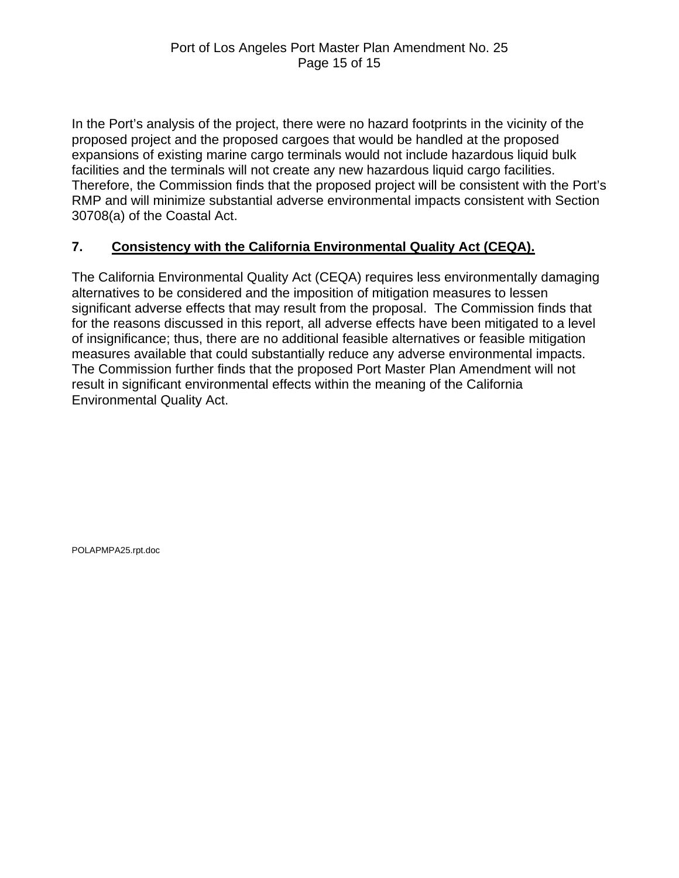In the Port's analysis of the project, there were no hazard footprints in the vicinity of the proposed project and the proposed cargoes that would be handled at the proposed expansions of existing marine cargo terminals would not include hazardous liquid bulk facilities and the terminals will not create any new hazardous liquid cargo facilities. Therefore, the Commission finds that the proposed project will be consistent with the Port's RMP and will minimize substantial adverse environmental impacts consistent with Section 30708(a) of the Coastal Act.

# **7. Consistency with the California Environmental Quality Act (CEQA).**

The California Environmental Quality Act (CEQA) requires less environmentally damaging alternatives to be considered and the imposition of mitigation measures to lessen significant adverse effects that may result from the proposal. The Commission finds that for the reasons discussed in this report, all adverse effects have been mitigated to a level of insignificance; thus, there are no additional feasible alternatives or feasible mitigation measures available that could substantially reduce any adverse environmental impacts. The Commission further finds that the proposed Port Master Plan Amendment will not result in significant environmental effects within the meaning of the California Environmental Quality Act.

POLAPMPA25.rpt.doc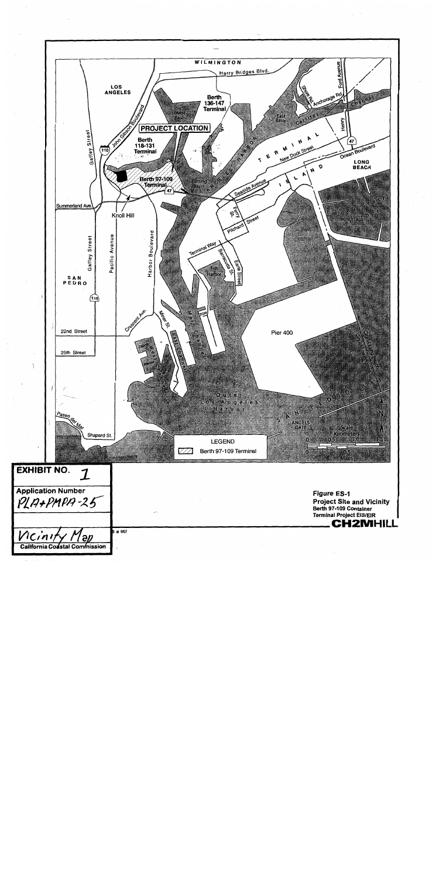